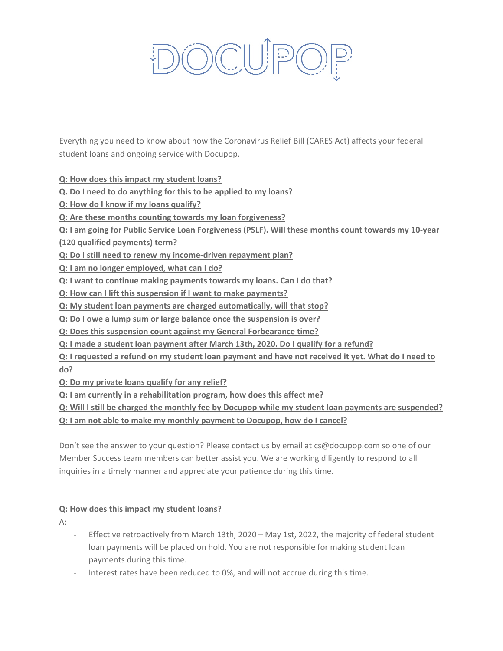# **DCUP**

Everything you need to know about how the Coronavirus Relief Bill (CARES Act) affects your federal student loans and ongoing service with Docupop.

**[Q: How does this impact my student loans?](#page-0-0)**

**Q. Do I need [to do anything for this to be applied to my loans?](#page-1-0)**

**[Q: How do I know if my loans qualify?](#page-1-1)**

**[Q: Are these months counting towards my loan forgiveness?](#page-1-2)**

**[Q: I am going for Public Service Loan Forgiveness \(PSLF\). Will these months count towards my 10-year](#page-1-3)** 

**[\(120 qualified payments\) term?](#page-1-3)**

**[Q: Do I still need to renew my income-driven repayment plan?](#page-2-0)**

**[Q: I am no longer employed, what can I do?](#page-1-4)**

**[Q: I want to continue making payments towards my loans. Can I do that?](#page-1-5)**

**[Q: How can I lift this suspension if I want to make payments?](#page-2-1)**

**[Q: My student loan payments are charged automatically, will that stop?](#page-1-6)**

**[Q: Do I owe a lump sum or large balance once the suspension is over?](#page-2-2)**

**[Q: Does this suspension count against my General Forbearance time?](#page-2-3)**

**[Q: I made a student loan payment after March 13th, 2020. Do I qualify for a refund?](#page-1-7)**

**[Q: I requested a refund on my student loan payment and have not received it yet. What do I need to](#page-2-4)  [do?](#page-2-4)**

**[Q: Do my private loans qualify for any relief?](#page-1-1)**

**[Q: I am currently in a rehabilitation program, how does this affect me?](#page-2-5)**

**[Q: Will I still be charged the monthly fee by Docupop](#page-1-6) while my student loan payments are suspended?**

**[Q: I am not able to make my monthly payment to Docupop, how do I cancel?](#page-2-6)**

Don't see the answer to your question? Please contact us by email at [cs@docupop.com](mailto:cs@docupop.com) so one of our Member Success team members can better assist you. We are working diligently to respond to all inquiries in a timely manner and appreciate your patience during this time.

### <span id="page-0-0"></span>**Q: How does this impact my student loans?**

A:

- Effective retroactively from March 13th, 2020 May 1st, 2022, the majority of federal student loan payments will be placed on hold. You are not responsible for making student loan payments during this time.
- Interest rates have been reduced to 0%, and will not accrue during this time.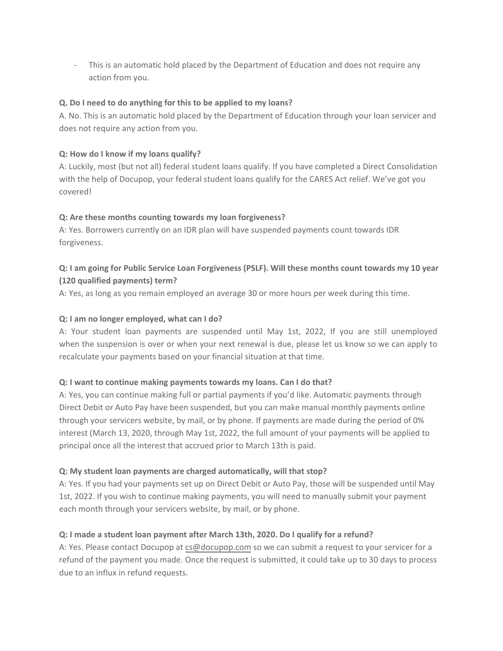- This is an automatic hold placed by the Department of Education and does not require any action from you.

## <span id="page-1-0"></span>**Q. Do I need to do anything for this to be applied to my loans?**

A. No. This is an automatic hold placed by the Department of Education through your loan servicer and does not require any action from you.

## <span id="page-1-1"></span>**Q: How do I know if my loans qualify?**

A: Luckily, most (but not all) federal student loans qualify. If you have completed a Direct Consolidation with the help of Docupop, your federal student loans qualify for the CARES Act relief. We've got you covered!

## <span id="page-1-2"></span>**Q: Are these months counting towards my loan forgiveness?**

A: Yes. Borrowers currently on an IDR plan will have suspended payments count towards IDR forgiveness.

# <span id="page-1-3"></span>**Q: I am going for Public Service Loan Forgiveness (PSLF). Will these months count towards my 10 year (120 qualified payments) term?**

A: Yes, as long as you remain employed an average 30 or more hours per week during this time.

## <span id="page-1-4"></span>**Q: I am no longer employed, what can I do?**

A: Your student loan payments are suspended until May 1st, 2022, If you are still unemployed when the suspension is over or when your next renewal is due, please let us know so we can apply to recalculate your payments based on your financial situation at that time.

### <span id="page-1-5"></span>**Q: I want to continue making payments towards my loans. Can I do that?**

A: Yes, you can continue making full or partial payments if you'd like. Automatic payments through Direct Debit or Auto Pay have been suspended, but you can make manual monthly payments online through your servicers website, by mail, or by phone. If payments are made during the period of 0% interest (March 13, 2020, through May 1st, 2022, the full amount of your payments will be applied to principal once all the interest that accrued prior to March 13th is paid.

### <span id="page-1-6"></span>**Q: My student loan payments are charged automatically, will that stop?**

A: Yes. If you had your payments set up on Direct Debit or Auto Pay, those will be suspended until May 1st, 2022. If you wish to continue making payments, you will need to manually submit your payment each month through your servicers website, by mail, or by phone.

# <span id="page-1-7"></span>**Q: I made a student loan payment after March 13th, 2020. Do I qualify for a refund?**

A: Yes. Please contact Docupop at [cs@docupop.com](mailto:cs@docupop.com) so we can submit a request to your servicer for a refund of the payment you made. Once the request is submitted, it could take up to 30 days to process due to an influx in refund requests.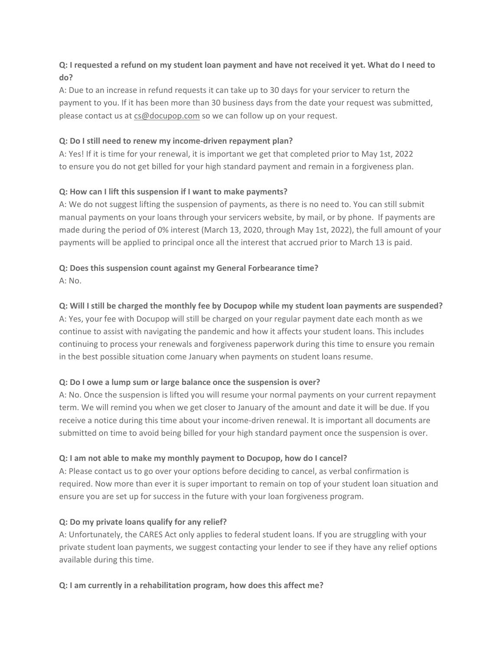# <span id="page-2-4"></span>**Q: I requested a refund on my student loan payment and have not received it yet. What do I need to do?**

A: Due to an increase in refund requests it can take up to 30 days for your servicer to return the payment to you. If it has been more than 30 business days from the date your request was submitted, please contact us at [cs@docupop.com](mailto:cs@docupop.com) so we can follow up on your request.

## <span id="page-2-0"></span>**Q: Do I still need to renew my income-driven repayment plan?**

A: Yes! If it is time for your renewal, it is important we get that completed prior to May 1st, 2022 to ensure you do not get billed for your high standard payment and remain in a forgiveness plan.

# <span id="page-2-1"></span>**Q: How can I lift this suspension if I want to make payments?**

A: We do not suggest lifting the suspension of payments, as there is no need to. You can still submit manual payments on your loans through your servicers website, by mail, or by phone. If payments are made during the period of 0% interest (March 13, 2020, through May 1st, 2022), the full amount of your payments will be applied to principal once all the interest that accrued prior to March 13 is paid.

# <span id="page-2-3"></span>**Q: Does this suspension count against my General Forbearance time?**

A: No.

# **Q: Will I still be charged the monthly fee by Docupop while my student loan payments are suspended?**

A: Yes, your fee with Docupop will still be charged on your regular payment date each month as we continue to assist with navigating the pandemic and how it affects your student loans. This includes continuing to process your renewals and forgiveness paperwork during this time to ensure you remain in the best possible situation come January when payments on student loans resume.

# <span id="page-2-2"></span>**Q: Do I owe a lump sum or large balance once the suspension is over?**

A: No. Once the suspension is lifted you will resume your normal payments on your current repayment term. We will remind you when we get closer to January of the amount and date it will be due. If you receive a notice during this time about your income-driven renewal. It is important all documents are submitted on time to avoid being billed for your high standard payment once the suspension is over.

### <span id="page-2-6"></span>**Q: I am not able to make my monthly payment to Docupop, how do I cancel?**

A: Please contact us to go over your options before deciding to cancel, as verbal confirmation is required. Now more than ever it is super important to remain on top of your student loan situation and ensure you are set up for success in the future with your loan forgiveness program.

# <span id="page-2-5"></span>**Q: Do my private loans qualify for any relief?**

A: Unfortunately, the CARES Act only applies to federal student loans. If you are struggling with your private student loan payments, we suggest contacting your lender to see if they have any relief options available during this time.

# **Q: I am currently in a rehabilitation program, how does this affect me?**